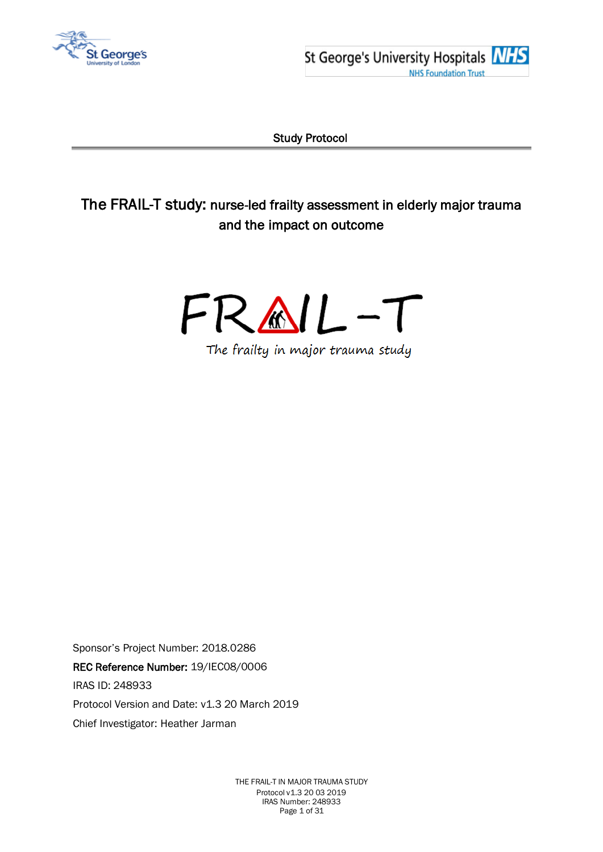



Study Protocol

# The FRAIL-T study: nurse-led frailty assessment in elderly major trauma and the impact on outcome



Sponsor's Project Number: 2018.0286 REC Reference Number: 19/IEC08/0006 IRAS ID: 248933 Protocol Version and Date: v1.3 20 March 2019 Chief Investigator: Heather Jarman

> THE FRAIL-T IN MAJOR TRAUMA STUDY Protocol v1.3 20 03 2019 IRAS Number: 248933 Page 1 of 31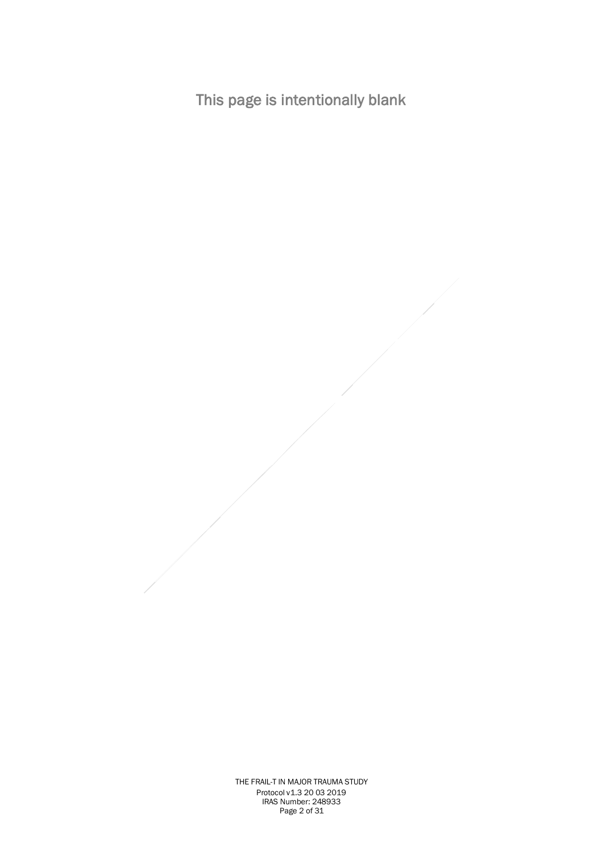This page is intentionally blank

THE FRAIL-T IN MAJOR TRAUMA STUDY Protocol v1.3 20 03 2019 IRAS Number: 248933 Page 2 of 31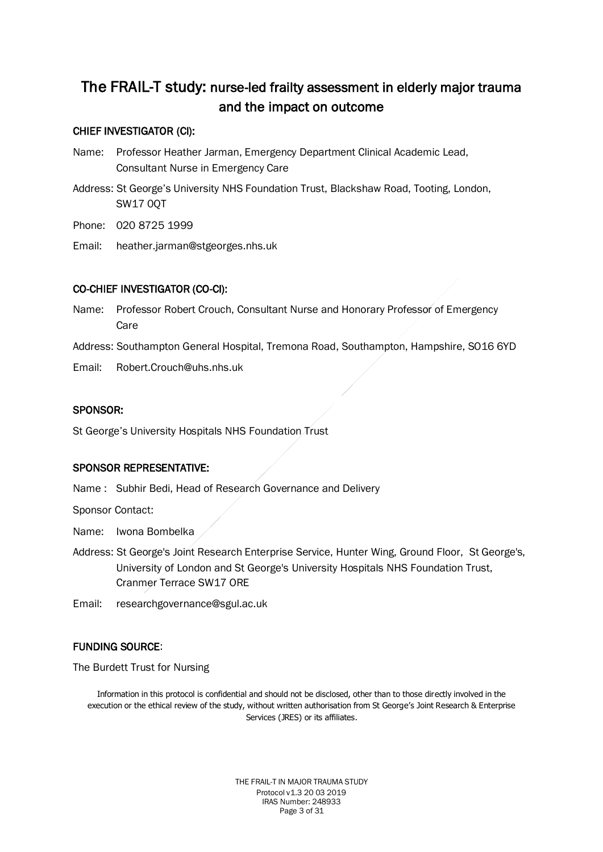## The FRAIL-T study: nurse-led frailty assessment in elderly major trauma and the impact on outcome

#### CHIEF INVESTIGATOR (CI):

- Name: Professor Heather Jarman, Emergency Department Clinical Academic Lead, Consultant Nurse in Emergency Care
- Address: St George's University NHS Foundation Trust, Blackshaw Road, Tooting, London, SW17 0QT
- Phone: 020 8725 1999
- Email: [heather.jarman@stgeorges.nhs.uk](mailto:heather.jarman@stgeorges.nhs.uk)

### CO-CHIEF INVESTIGATOR (CO-CI):

- Name: Professor Robert Crouch, Consultant Nurse and Honorary Professor of Emergency Care
- Address: Southampton General Hospital, Tremona Road, Southampton, Hampshire, SO16 6YD
- Email: Robert.Crouch@uhs.nhs.uk

#### SPONSOR:

St George's University Hospitals NHS Foundation Trust

#### SPONSOR REPRESENTATIVE:

- Name : Subhir Bedi, Head of Research Governance and Delivery
- Sponsor Contact:
- Name: Iwona Bombelka
- Address: St George's Joint Research Enterprise Service, Hunter Wing, Ground Floor, St George's, University of London and St George's University Hospitals NHS Foundation Trust, Cranmer Terrace SW17 ORE
- Email: researchgovernance@sgul.ac.uk

#### FUNDING SOURCE:

The Burdett Trust for Nursing

Information in this protocol is confidential and should not be disclosed, other than to those directly involved in the execution or the ethical review of the study, without written authorisation from St George's Joint Research & Enterprise Services (JRES) or its affiliates.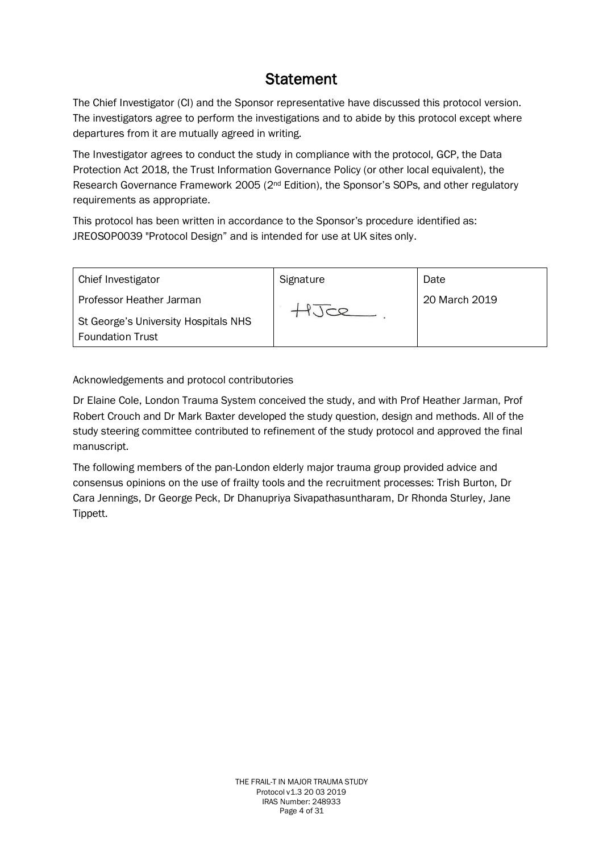## **Statement**

The Chief Investigator (CI) and the Sponsor representative have discussed this protocol version. The investigators agree to perform the investigations and to abide by this protocol except where departures from it are mutually agreed in writing.

The Investigator agrees to conduct the study in compliance with the protocol, GCP, the Data Protection Act 2018, the Trust Information Governance Policy (or other local equivalent), the Research Governance Framework 2005 (2<sup>nd</sup> Edition), the Sponsor's SOPs, and other regulatory requirements as appropriate.

This protocol has been written in accordance to the Sponsor's procedure identified as: JREOSOP0039 "Protocol Design" and is intended for use at UK sites only.

| Chief Investigator                   | Signature | Date          |
|--------------------------------------|-----------|---------------|
| Professor Heather Jarman             |           | 20 March 2019 |
| St George's University Hospitals NHS |           |               |
| <b>Foundation Trust</b>              |           |               |

Acknowledgements and protocol contributories

Dr Elaine Cole, London Trauma System conceived the study, and with Prof Heather Jarman, Prof Robert Crouch and Dr Mark Baxter developed the study question, design and methods. All of the study steering committee contributed to refinement of the study protocol and approved the final manuscript.

The following members of the pan-London elderly major trauma group provided advice and consensus opinions on the use of frailty tools and the recruitment processes: Trish Burton, Dr Cara Jennings, Dr George Peck, Dr Dhanupriya Sivapathasuntharam, Dr Rhonda Sturley, Jane Tippett.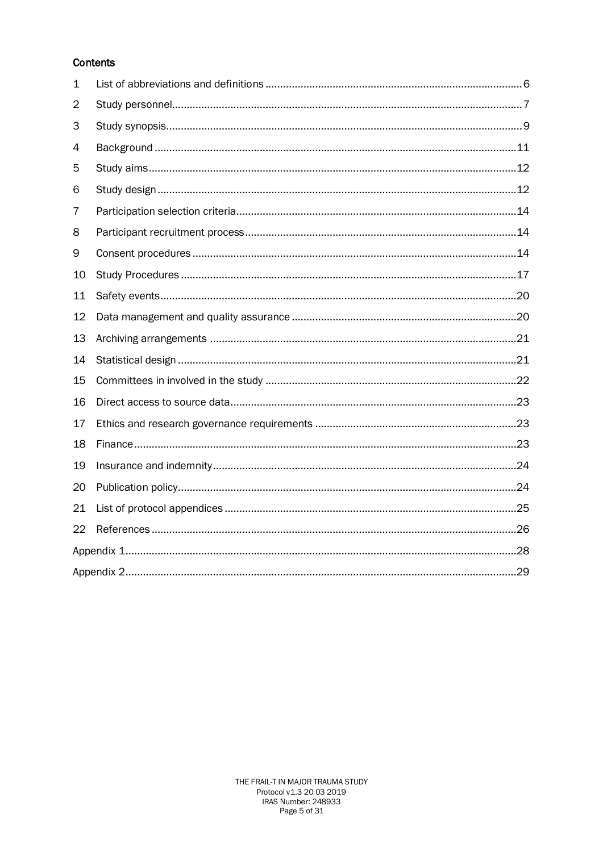### Contents

| 1  |  |
|----|--|
| 2  |  |
| 3  |  |
| 4  |  |
| 5  |  |
| 6  |  |
| 7  |  |
| 8  |  |
| 9  |  |
| 10 |  |
| 11 |  |
| 12 |  |
| 13 |  |
| 14 |  |
| 15 |  |
| 16 |  |
| 17 |  |
| 18 |  |
| 19 |  |
| 20 |  |
| 21 |  |
| 22 |  |
|    |  |
|    |  |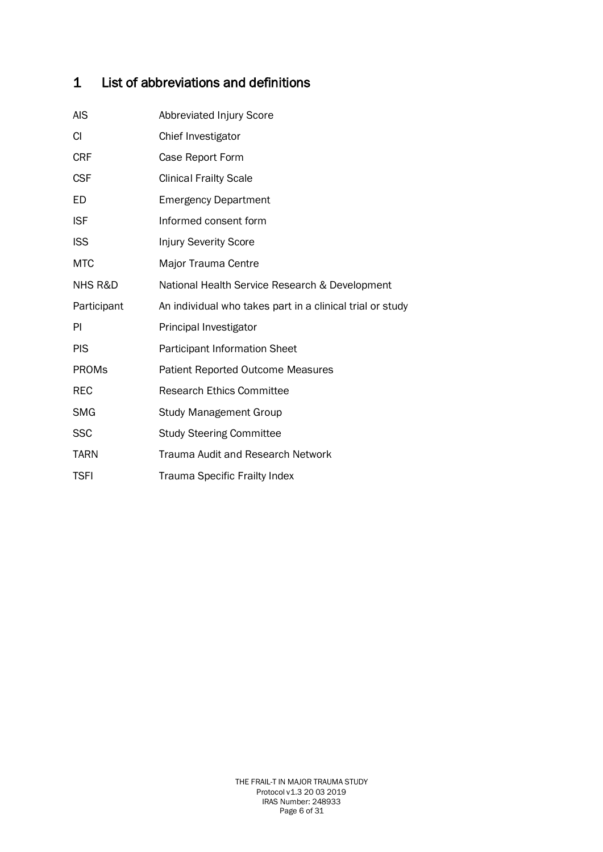## <span id="page-5-0"></span>1 List of abbreviations and definitions

| <b>AIS</b>   | Abbreviated Injury Score                                  |
|--------------|-----------------------------------------------------------|
| CI           | Chief Investigator                                        |
| <b>CRF</b>   | Case Report Form                                          |
| <b>CSF</b>   | <b>Clinical Frailty Scale</b>                             |
| <b>ED</b>    | <b>Emergency Department</b>                               |
| <b>ISF</b>   | Informed consent form                                     |
| <b>ISS</b>   | <b>Injury Severity Score</b>                              |
| <b>MTC</b>   | Major Trauma Centre                                       |
| NHS R&D      | National Health Service Research & Development            |
| Participant  | An individual who takes part in a clinical trial or study |
| PI           | Principal Investigator                                    |
| <b>PIS</b>   | <b>Participant Information Sheet</b>                      |
| <b>PROMs</b> | <b>Patient Reported Outcome Measures</b>                  |
| <b>REC</b>   | <b>Research Ethics Committee</b>                          |
| <b>SMG</b>   | <b>Study Management Group</b>                             |
| <b>SSC</b>   | <b>Study Steering Committee</b>                           |
| <b>TARN</b>  | <b>Trauma Audit and Research Network</b>                  |
| <b>TSFI</b>  | Trauma Specific Frailty Index                             |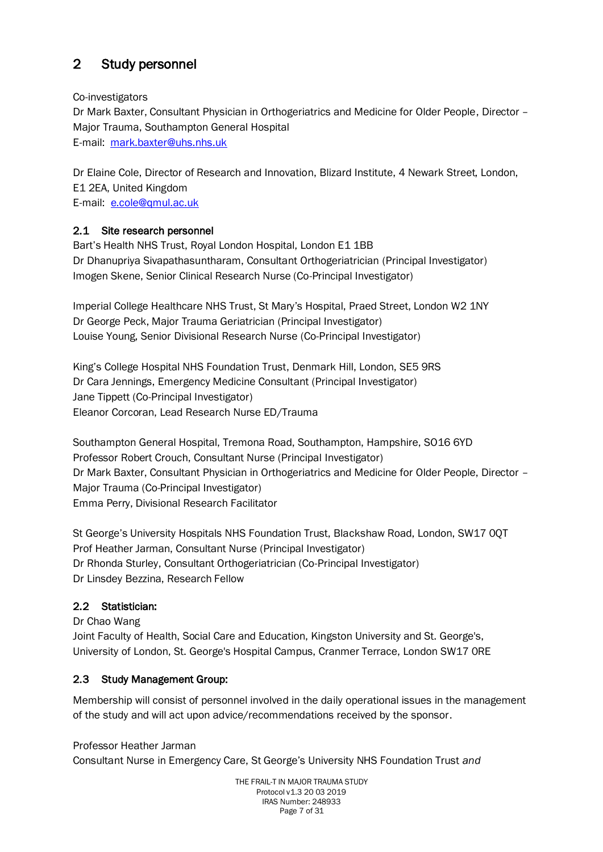## <span id="page-6-0"></span>2 Study personnel

Co-investigators

Dr Mark Baxter, Consultant Physician in Orthogeriatrics and Medicine for Older People, Director – Major Trauma, Southampton General Hospital E-mail: [mark.baxter@uhs.nhs.uk](mailto:mark.baxter@uhs.nhs.uk)

Dr Elaine Cole, Director of Research and Innovation, Blizard Institute, 4 Newark Street, London, E1 2EA, United Kingdom

E-mail: [e.cole@qmul.ac.uk](mailto:e.cole@qmul.ac.uk)

### 2.1 Site research personnel

Bart's Health NHS Trust, Royal London Hospital, London E1 1BB Dr Dhanupriya Sivapathasuntharam, Consultant Orthogeriatrician (Principal Investigator) Imogen Skene, Senior Clinical Research Nurse (Co-Principal Investigator)

Imperial College Healthcare NHS Trust, St Mary's Hospital, Praed Street, London W2 1NY Dr George Peck, Major Trauma Geriatrician (Principal Investigator) Louise Young, Senior Divisional Research Nurse (Co-Principal Investigator)

King's College Hospital NHS Foundation Trust, Denmark Hill, London, SE5 9RS Dr Cara Jennings, Emergency Medicine Consultant (Principal Investigator) Jane Tippett (Co-Principal Investigator) Eleanor Corcoran, Lead Research Nurse ED/Trauma

Southampton General Hospital, Tremona Road, Southampton, Hampshire, SO16 6YD Professor Robert Crouch, Consultant Nurse (Principal Investigator) Dr Mark Baxter, Consultant Physician in Orthogeriatrics and Medicine for Older People, Director – Major Trauma (Co-Principal Investigator) Emma Perry, Divisional Research Facilitator

St George's University Hospitals NHS Foundation Trust, Blackshaw Road, London, SW17 0QT Prof Heather Jarman, Consultant Nurse (Principal Investigator) Dr Rhonda Sturley, Consultant Orthogeriatrician (Co-Principal Investigator) Dr Linsdey Bezzina, Research Fellow

### 2.2 Statistician:

Dr Chao Wang

Joint Faculty of Health, Social Care and Education, Kingston University and St. George's, University of London, St. George's Hospital Campus, Cranmer Terrace, London SW17 0RE

### 2.3 Study Management Group:

Membership will consist of personnel involved in the daily operational issues in the management of the study and will act upon advice/recommendations received by the sponsor.

#### Professor Heather Jarman

Consultant Nurse in Emergency Care, St George's University NHS Foundation Trust *and* 

THE FRAIL-T IN MAJOR TRAUMA STUDY Protocol v1.3 20 03 2019 IRAS Number: 248933 Page 7 of 31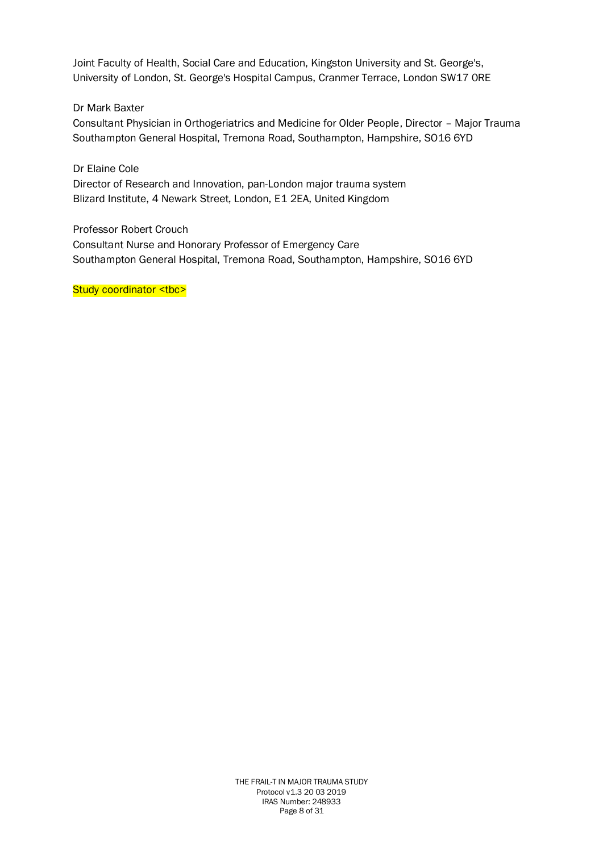Joint Faculty of Health, Social Care and Education, Kingston University and St. George's, University of London, St. George's Hospital Campus, Cranmer Terrace, London SW17 0RE

Dr Mark Baxter

Consultant Physician in Orthogeriatrics and Medicine for Older People, Director – Major Trauma Southampton General Hospital, Tremona Road, Southampton, Hampshire, SO16 6YD

Dr Elaine Cole Director of Research and Innovation, pan-London major trauma system Blizard Institute, 4 Newark Street, London, E1 2EA, United Kingdom

Professor Robert Crouch Consultant Nurse and Honorary Professor of Emergency Care Southampton General Hospital, Tremona Road, Southampton, Hampshire, SO16 6YD

Study coordinator <tbc>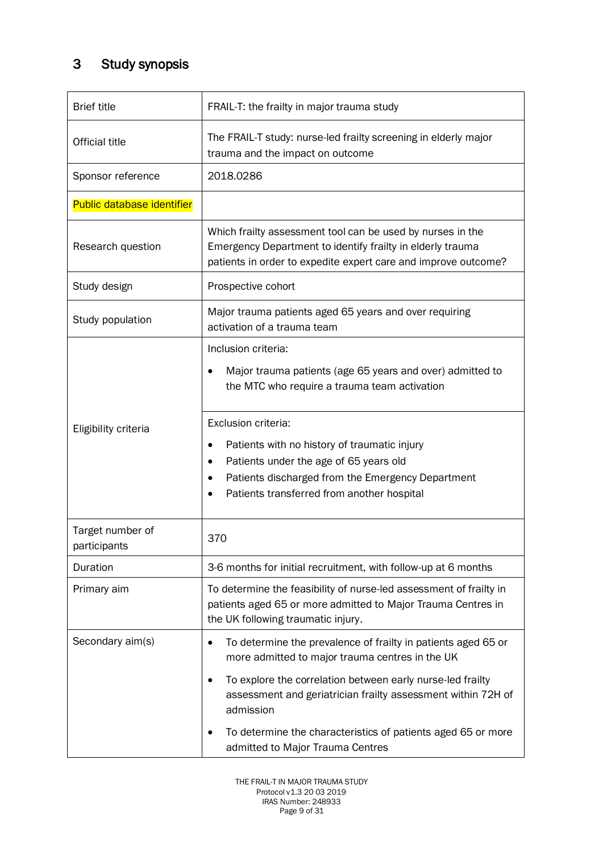# <span id="page-8-0"></span>3 Study synopsis

| <b>Brief title</b>                | FRAIL-T: the frailty in major trauma study                                                                                                                                                                       |
|-----------------------------------|------------------------------------------------------------------------------------------------------------------------------------------------------------------------------------------------------------------|
| Official title                    | The FRAIL-T study: nurse-led frailty screening in elderly major<br>trauma and the impact on outcome                                                                                                              |
| Sponsor reference                 | 2018.0286                                                                                                                                                                                                        |
| <b>Public database identifier</b> |                                                                                                                                                                                                                  |
| Research question                 | Which frailty assessment tool can be used by nurses in the<br>Emergency Department to identify frailty in elderly trauma<br>patients in order to expedite expert care and improve outcome?                       |
| Study design                      | Prospective cohort                                                                                                                                                                                               |
| Study population                  | Major trauma patients aged 65 years and over requiring<br>activation of a trauma team                                                                                                                            |
|                                   | Inclusion criteria:                                                                                                                                                                                              |
|                                   | Major trauma patients (age 65 years and over) admitted to<br>the MTC who require a trauma team activation                                                                                                        |
| Eligibility criteria              | Exclusion criteria:<br>Patients with no history of traumatic injury<br>Patients under the age of 65 years old<br>Patients discharged from the Emergency Department<br>Patients transferred from another hospital |
| Target number of<br>participants  | 370                                                                                                                                                                                                              |
| Duration                          | 3-6 months for initial recruitment, with follow-up at 6 months                                                                                                                                                   |
| Primary aim                       | To determine the feasibility of nurse-led assessment of frailty in<br>patients aged 65 or more admitted to Major Trauma Centres in<br>the UK following traumatic injury.                                         |
| Secondary aim(s)                  | To determine the prevalence of frailty in patients aged 65 or<br>$\bullet$<br>more admitted to major trauma centres in the UK                                                                                    |
|                                   | To explore the correlation between early nurse-led frailty<br>$\bullet$<br>assessment and geriatrician frailty assessment within 72H of<br>admission                                                             |
|                                   | To determine the characteristics of patients aged 65 or more<br>admitted to Major Trauma Centres                                                                                                                 |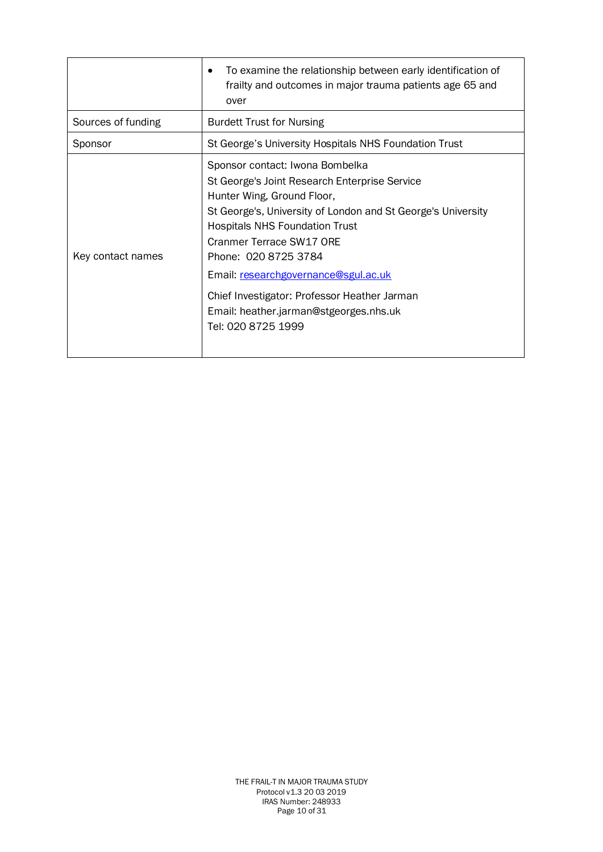|                    | To examine the relationship between early identification of<br>frailty and outcomes in major trauma patients age 65 and<br>over                                                                                                                                                                                                                                                                                                     |
|--------------------|-------------------------------------------------------------------------------------------------------------------------------------------------------------------------------------------------------------------------------------------------------------------------------------------------------------------------------------------------------------------------------------------------------------------------------------|
| Sources of funding | <b>Burdett Trust for Nursing</b>                                                                                                                                                                                                                                                                                                                                                                                                    |
| Sponsor            | St George's University Hospitals NHS Foundation Trust                                                                                                                                                                                                                                                                                                                                                                               |
| Key contact names  | Sponsor contact: Iwona Bombelka<br>St George's Joint Research Enterprise Service<br>Hunter Wing, Ground Floor,<br>St George's, University of London and St George's University<br><b>Hospitals NHS Foundation Trust</b><br>Cranmer Terrace SW17 ORE<br>Phone: 020 8725 3784<br>Email: researchgovernance@sgul.ac.uk<br>Chief Investigator: Professor Heather Jarman<br>Email: heather.jarman@stgeorges.nhs.uk<br>Tel: 020 8725 1999 |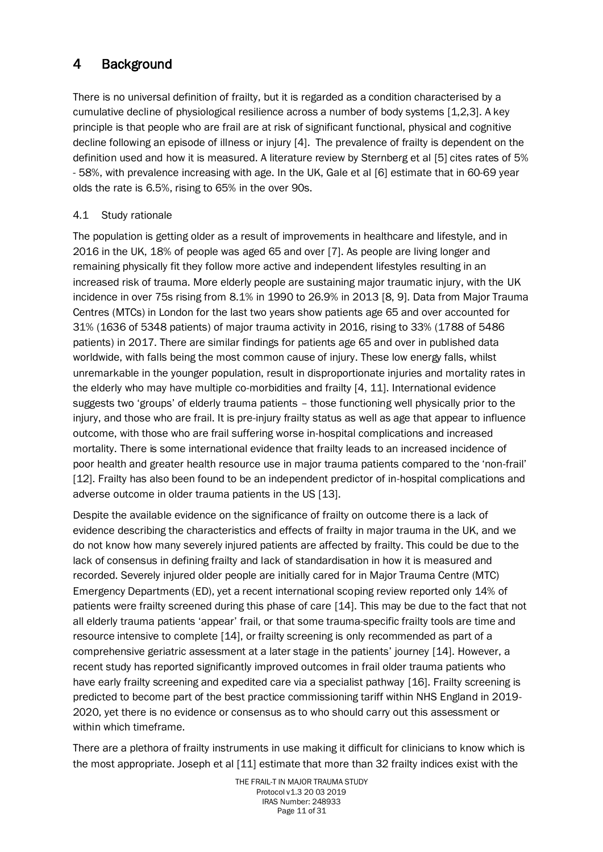## <span id="page-10-0"></span>4 Background

There is no universal definition of frailty, but it is regarded as a condition characterised by a cumulative decline of physiological resilience across a number of body systems [1,2,3]. A key principle is that people who are frail are at risk of significant functional, physical and cognitive decline following an episode of illness or injury [4]. The prevalence of frailty is dependent on the definition used and how it is measured. A literature review by Sternberg et al [5] cites rates of 5% - 58%, with prevalence increasing with age. In the UK, Gale et al [6] estimate that in 60-69 year olds the rate is 6.5%, rising to 65% in the over 90s.

### 4.1 Study rationale

The population is getting older as a result of improvements in healthcare and lifestyle, and in 2016 in the UK, 18% of people was aged 65 and over [7]. As people are living longer and remaining physically fit they follow more active and independent lifestyles resulting in an increased risk of trauma. More elderly people are sustaining major traumatic injury, with the UK incidence in over 75s rising from 8.1% in 1990 to 26.9% in 2013 [8, 9]. Data from Major Trauma Centres (MTCs) in London for the last two years show patients age 65 and over accounted for 31% (1636 of 5348 patients) of major trauma activity in 2016, rising to 33% (1788 of 5486 patients) in 2017. There are similar findings for patients age 65 and over in published data worldwide, with falls being the most common cause of injury. These low energy falls, whilst unremarkable in the younger population, result in disproportionate injuries and mortality rates in the elderly who may have multiple co-morbidities and frailty [4, 11]. International evidence suggests two 'groups' of elderly trauma patients – those functioning well physically prior to the injury, and those who are frail. It is pre-injury frailty status as well as age that appear to influence outcome, with those who are frail suffering worse in-hospital complications and increased mortality. There is some international evidence that frailty leads to an increased incidence of poor health and greater health resource use in major trauma patients compared to the 'non-frail' [12]. Frailty has also been found to be an independent predictor of in-hospital complications and adverse outcome in older trauma patients in the US [13].

Despite the available evidence on the significance of frailty on outcome there is a lack of evidence describing the characteristics and effects of frailty in major trauma in the UK, and we do not know how many severely injured patients are affected by frailty. This could be due to the lack of consensus in defining frailty and lack of standardisation in how it is measured and recorded. Severely injured older people are initially cared for in Major Trauma Centre (MTC) Emergency Departments (ED), yet a recent international scoping review reported only 14% of patients were frailty screened during this phase of care [14]. This may be due to the fact that not all elderly trauma patients 'appear' frail, or that some trauma-specific frailty tools are time and resource intensive to complete [14], or frailty screening is only recommended as part of a comprehensive geriatric assessment at a later stage in the patients' journey [14]. However, a recent study has reported significantly improved outcomes in frail older trauma patients who have early frailty screening and expedited care via a specialist pathway [16]. Frailty screening is predicted to become part of the best practice commissioning tariff within NHS England in 2019- 2020, yet there is no evidence or consensus as to who should carry out this assessment or within which timeframe.

There are a plethora of frailty instruments in use making it difficult for clinicians to know which is the most appropriate. Joseph et al [11] estimate that more than 32 frailty indices exist with the

> THE FRAIL-T IN MAJOR TRAUMA STUDY Protocol v1.3 20 03 2019 IRAS Number: 248933 Page 11 of 31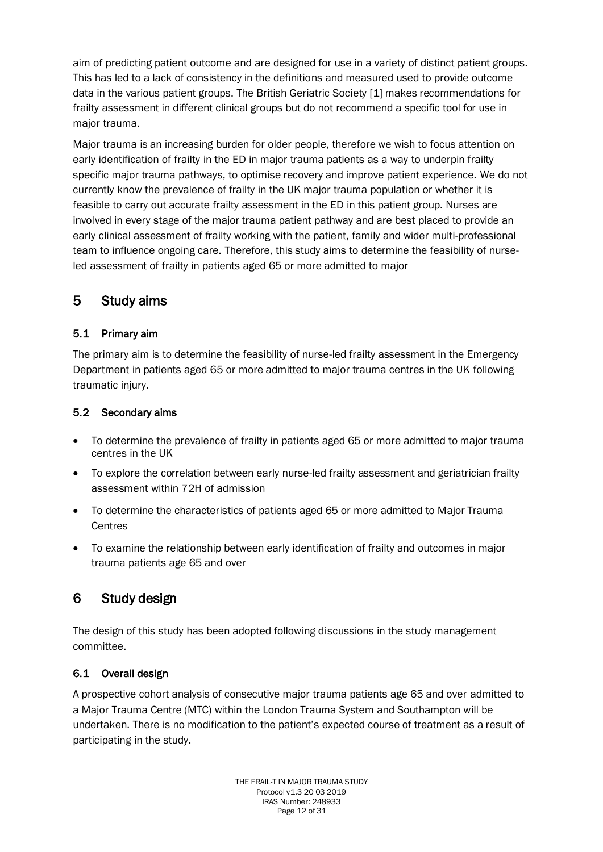aim of predicting patient outcome and are designed for use in a variety of distinct patient groups. This has led to a lack of consistency in the definitions and measured used to provide outcome data in the various patient groups. The British Geriatric Society [1] makes recommendations for frailty assessment in different clinical groups but do not recommend a specific tool for use in major trauma.

Major trauma is an increasing burden for older people, therefore we wish to focus attention on early identification of frailty in the ED in major trauma patients as a way to underpin frailty specific major trauma pathways, to optimise recovery and improve patient experience. We do not currently know the prevalence of frailty in the UK major trauma population or whether it is feasible to carry out accurate frailty assessment in the ED in this patient group. Nurses are involved in every stage of the major trauma patient pathway and are best placed to provide an early clinical assessment of frailty working with the patient, family and wider multi-professional team to influence ongoing care. Therefore, this study aims to determine the feasibility of nurseled assessment of frailty in patients aged 65 or more admitted to major

## <span id="page-11-0"></span>5 Study aims

### 5.1 Primary aim

The primary aim is to determine the feasibility of nurse-led frailty assessment in the Emergency Department in patients aged 65 or more admitted to major trauma centres in the UK following traumatic injury.

### 5.2 Secondary aims

- To determine the prevalence of frailty in patients aged 65 or more admitted to major trauma centres in the UK
- To explore the correlation between early nurse-led frailty assessment and geriatrician frailty assessment within 72H of admission
- To determine the characteristics of patients aged 65 or more admitted to Major Trauma **Centres**
- To examine the relationship between early identification of frailty and outcomes in major trauma patients age 65 and over

## <span id="page-11-1"></span>6 Study design

The design of this study has been adopted following discussions in the study management committee.

## 6.1 Overall design

A prospective cohort analysis of consecutive major trauma patients age 65 and over admitted to a Major Trauma Centre (MTC) within the London Trauma System and Southampton will be undertaken. There is no modification to the patient's expected course of treatment as a result of participating in the study.

> THE FRAIL-T IN MAJOR TRAUMA STUDY Protocol v1.3 20 03 2019 IRAS Number: 248933 Page 12 of 31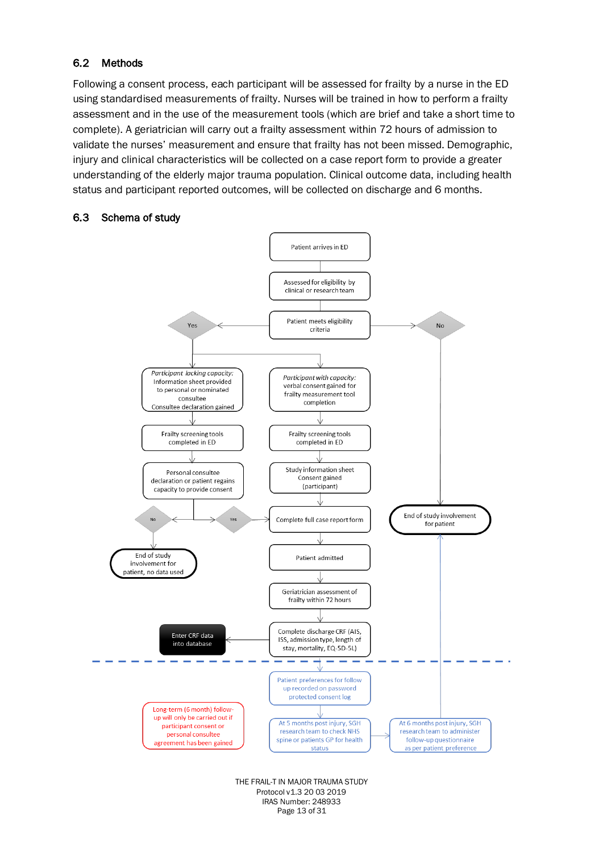### 6.2 Methods

Following a consent process, each participant will be assessed for frailty by a nurse in the ED using standardised measurements of frailty. Nurses will be trained in how to perform a frailty assessment and in the use of the measurement tools (which are brief and take a short time to complete). A geriatrician will carry out a frailty assessment within 72 hours of admission to validate the nurses' measurement and ensure that frailty has not been missed. Demographic, injury and clinical characteristics will be collected on a case report form to provide a greater understanding of the elderly major trauma population. Clinical outcome data, including health status and participant reported outcomes, will be collected on discharge and 6 months.

#### 6.3 Schema of study



THE FRAIL-T IN MAJOR TRAUMA STUDY Protocol v1.3 20 03 2019 IRAS Number: 248933 Page 13 of 31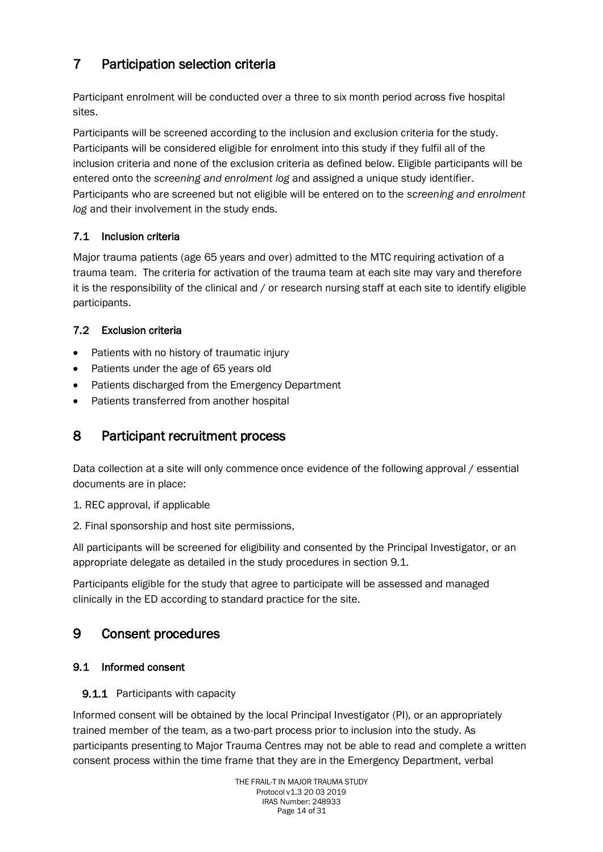## <span id="page-13-0"></span>7 Participation selection criteria

Participant enrolment will be conducted over a three to six month period across five hospital sites.

Participants will be screened according to the inclusion and exclusion criteria for the study. Participants will be considered eligible for enrolment into this study if they fulfil all of the inclusion criteria and none of the exclusion criteria as defined below. Eligible participants will be entered onto the *screening and enrolment log* and assigned a unique study identifier. Participants who are screened but not eligible will be entered on to the *screening and enrolment log* and their involvement in the study ends.

## 7.1 Inclusion criteria

Major trauma patients (age 65 years and over) admitted to the MTC requiring activation of a trauma team. The criteria for activation of the trauma team at each site may vary and therefore it is the responsibility of the clinical and / or research nursing staff at each site to identify eligible participants.

### 7.2 Exclusion criteria

- Patients with no history of traumatic injury
- Patients under the age of 65 years old
- Patients discharged from the Emergency Department
- <span id="page-13-1"></span>• Patients transferred from another hospital

## 8 Participant recruitment process

Data collection at a site will only commence once evidence of the following approval / essential documents are in place:

- 1. REC approval, if applicable
- 2. Final sponsorship and host site permissions,

All participants will be screened for eligibility and consented by the Principal Investigator, or an appropriate delegate as detailed in the study procedures in sectio[n 9.1.](#page-13-3)

Participants eligible for the study that agree to participate will be assessed and managed clinically in the ED according to standard practice for the site.

## <span id="page-13-2"></span>9 Consent procedures

#### <span id="page-13-3"></span>9.1 Informed consent

#### 9.1.1 Participants with capacity

Informed consent will be obtained by the local Principal Investigator (PI), or an appropriately trained member of the team, as a two-part process prior to inclusion into the study. As participants presenting to Major Trauma Centres may not be able to read and complete a written consent process within the time frame that they are in the Emergency Department, verbal

> THE FRAIL-T IN MAJOR TRAUMA STUDY Protocol v1.3 20 03 2019 IRAS Number: 248933 Page 14 of 31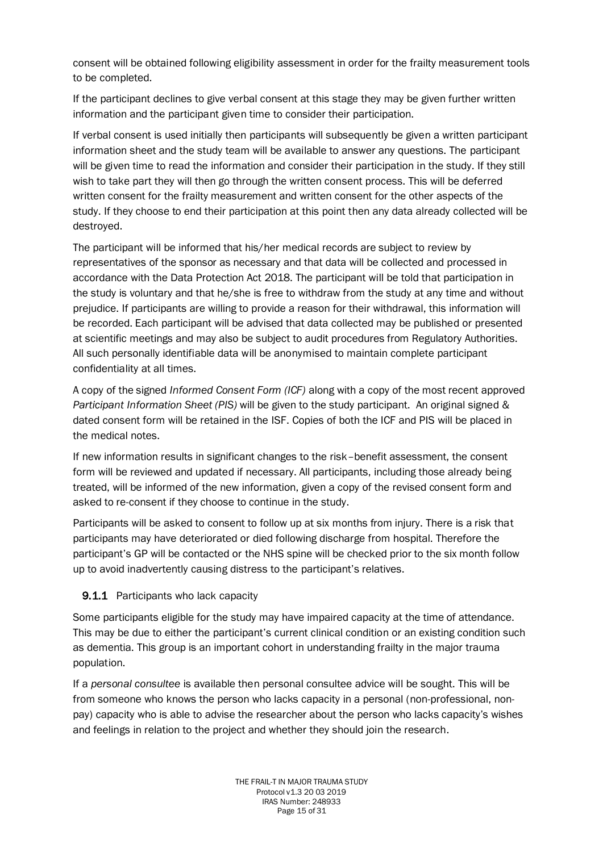consent will be obtained following eligibility assessment in order for the frailty measurement tools to be completed.

If the participant declines to give verbal consent at this stage they may be given further written information and the participant given time to consider their participation.

If verbal consent is used initially then participants will subsequently be given a written participant information sheet and the study team will be available to answer any questions. The participant will be given time to read the information and consider their participation in the study. If they still wish to take part they will then go through the written consent process. This will be deferred written consent for the frailty measurement and written consent for the other aspects of the study. If they choose to end their participation at this point then any data already collected will be destroyed.

The participant will be informed that his/her medical records are subject to review by representatives of the sponsor as necessary and that data will be collected and processed in accordance with the Data Protection Act 2018. The participant will be told that participation in the study is voluntary and that he/she is free to withdraw from the study at any time and without prejudice. If participants are willing to provide a reason for their withdrawal, this information will be recorded. Each participant will be advised that data collected may be published or presented at scientific meetings and may also be subject to audit procedures from Regulatory Authorities. All such personally identifiable data will be anonymised to maintain complete participant confidentiality at all times.

A copy of the signed *Informed Consent Form (ICF)* along with a copy of the most recent approved *Participant Information Sheet (PIS)* will be given to the study participant. An original signed & dated consent form will be retained in the ISF. Copies of both the ICF and PIS will be placed in the medical notes.

If new information results in significant changes to the risk–benefit assessment, the consent form will be reviewed and updated if necessary. All participants, including those already being treated, will be informed of the new information, given a copy of the revised consent form and asked to re-consent if they choose to continue in the study.

Participants will be asked to consent to follow up at six months from injury. There is a risk that participants may have deteriorated or died following discharge from hospital. Therefore the participant's GP will be contacted or the NHS spine will be checked prior to the six month follow up to avoid inadvertently causing distress to the participant's relatives.

### 9.1.1 Participants who lack capacity

Some participants eligible for the study may have impaired capacity at the time of attendance. This may be due to either the participant's current clinical condition or an existing condition such as dementia. This group is an important cohort in understanding frailty in the major trauma population.

If a *personal consultee* is available then personal consultee advice will be sought. This will be from someone who knows the person who lacks capacity in a personal (non-professional, nonpay) capacity who is able to advise the researcher about the person who lacks capacity's wishes and feelings in relation to the project and whether they should join the research.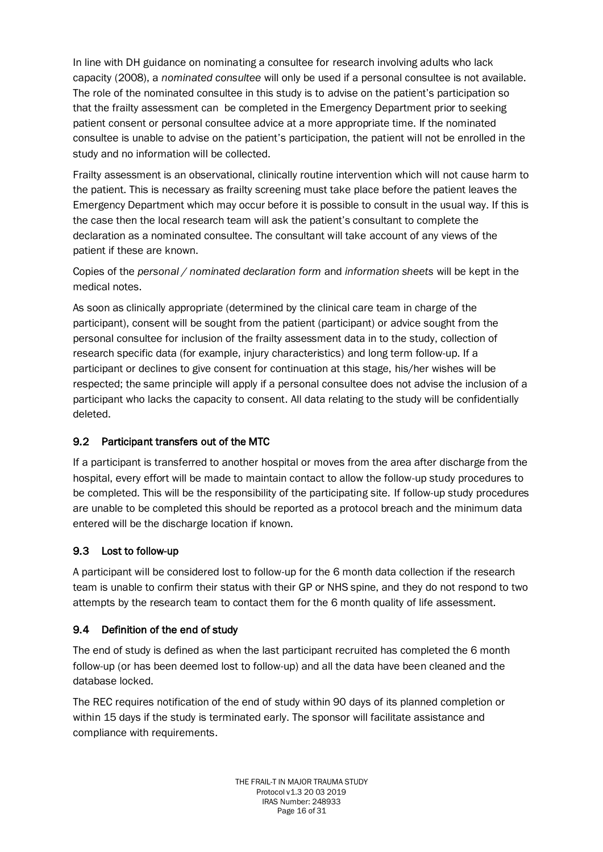In line with DH guidance on nominating a consultee for research involving adults who lack capacity (2008), a *nominated consultee* will only be used if a personal consultee is not available. The role of the nominated consultee in this study is to advise on the patient's participation so that the frailty assessment can be completed in the Emergency Department prior to seeking patient consent or personal consultee advice at a more appropriate time. If the nominated consultee is unable to advise on the patient's participation, the patient will not be enrolled in the study and no information will be collected.

Frailty assessment is an observational, clinically routine intervention which will not cause harm to the patient. This is necessary as frailty screening must take place before the patient leaves the Emergency Department which may occur before it is possible to consult in the usual way. If this is the case then the local research team will ask the patient's consultant to complete the declaration as a nominated consultee. The consultant will take account of any views of the patient if these are known.

Copies of the *personal / nominated declaration form* and *information sheets* will be kept in the medical notes.

As soon as clinically appropriate (determined by the clinical care team in charge of the participant), consent will be sought from the patient (participant) or advice sought from the personal consultee for inclusion of the frailty assessment data in to the study, collection of research specific data (for example, injury characteristics) and long term follow-up. If a participant or declines to give consent for continuation at this stage, his/her wishes will be respected; the same principle will apply if a personal consultee does not advise the inclusion of a participant who lacks the capacity to consent. All data relating to the study will be confidentially deleted.

### 9.2 Participant transfers out of the MTC

If a participant is transferred to another hospital or moves from the area after discharge from the hospital, every effort will be made to maintain contact to allow the follow-up study procedures to be completed. This will be the responsibility of the participating site. If follow-up study procedures are unable to be completed this should be reported as a protocol breach and the minimum data entered will be the discharge location if known.

### 9.3 Lost to follow-up

A participant will be considered lost to follow-up for the 6 month data collection if the research team is unable to confirm their status with their GP or NHS spine, and they do not respond to two attempts by the research team to contact them for the 6 month quality of life assessment.

### 9.4 Definition of the end of study

The end of study is defined as when the last participant recruited has completed the 6 month follow-up (or has been deemed lost to follow-up) and all the data have been cleaned and the database locked.

The REC requires notification of the end of study within 90 days of its planned completion or within 15 days if the study is terminated early. The sponsor will facilitate assistance and compliance with requirements.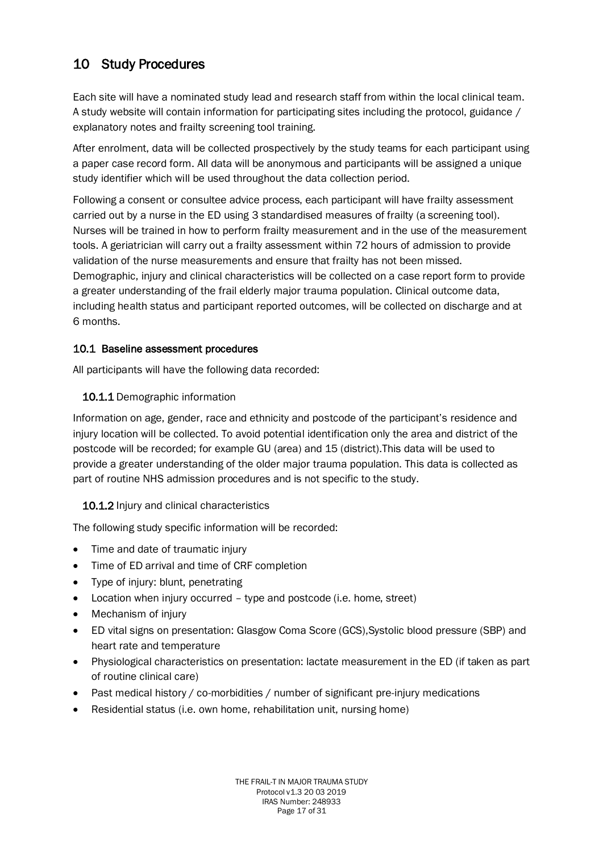## <span id="page-16-0"></span>10 Study Procedures

Each site will have a nominated study lead and research staff from within the local clinical team. A study website will contain information for participating sites including the protocol, guidance / explanatory notes and frailty screening tool training.

After enrolment, data will be collected prospectively by the study teams for each participant using a paper case record form. All data will be anonymous and participants will be assigned a unique study identifier which will be used throughout the data collection period.

Following a consent or consultee advice process, each participant will have frailty assessment carried out by a nurse in the ED using 3 standardised measures of frailty (a screening tool). Nurses will be trained in how to perform frailty measurement and in the use of the measurement tools. A geriatrician will carry out a frailty assessment within 72 hours of admission to provide validation of the nurse measurements and ensure that frailty has not been missed. Demographic, injury and clinical characteristics will be collected on a case report form to provide a greater understanding of the frail elderly major trauma population. Clinical outcome data, including health status and participant reported outcomes, will be collected on discharge and at 6 months.

### 10.1 Baseline assessment procedures

All participants will have the following data recorded:

### 10.1.1 Demographic information

Information on age, gender, race and ethnicity and postcode of the participant's residence and injury location will be collected. To avoid potential identification only the area and district of the postcode will be recorded; for example GU (area) and 15 (district).This data will be used to provide a greater understanding of the older major trauma population. This data is collected as part of routine NHS admission procedures and is not specific to the study.

#### 10.1.2 Injury and clinical characteristics

The following study specific information will be recorded:

- Time and date of traumatic injury
- Time of ED arrival and time of CRF completion
- Type of injury: blunt, penetrating
- Location when injury occurred type and postcode (i.e. home, street)
- Mechanism of injury
- ED vital signs on presentation: Glasgow Coma Score (GCS),Systolic blood pressure (SBP) and heart rate and temperature
- Physiological characteristics on presentation: lactate measurement in the ED (if taken as part of routine clinical care)
- Past medical history / co-morbidities / number of significant pre-injury medications
- Residential status (i.e. own home, rehabilitation unit, nursing home)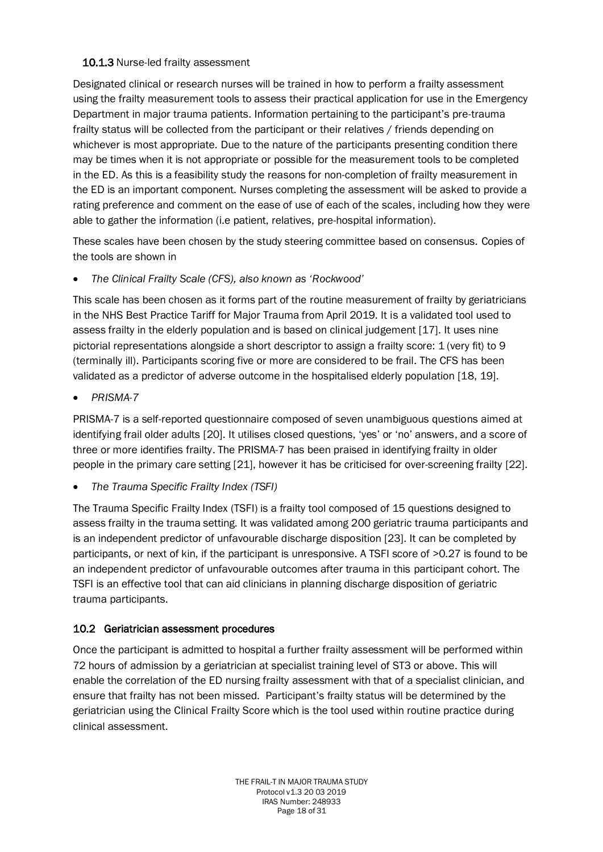#### 10.1.3 Nurse-led frailty assessment

Designated clinical or research nurses will be trained in how to perform a frailty assessment using the frailty measurement tools to assess their practical application for use in the Emergency Department in major trauma patients. Information pertaining to the participant's pre-trauma frailty status will be collected from the participant or their relatives / friends depending on whichever is most appropriate. Due to the nature of the participants presenting condition there may be times when it is not appropriate or possible for the measurement tools to be completed in the ED. As this is a feasibility study the reasons for non-completion of frailty measurement in the ED is an important component. Nurses completing the assessment will be asked to provide a rating preference and comment on the ease of use of each of the scales, including how they were able to gather the information (i.e patient, relatives, pre-hospital information).

These scales have been chosen by the study steering committee based on consensus. Copies of the tools are shown in

*The Clinical Frailty Scale (CFS), also known as 'Rockwood'*

This scale has been chosen as it forms part of the routine measurement of frailty by geriatricians in the NHS Best Practice Tariff for Major Trauma from April 2019. It is a validated tool used to assess frailty in the elderly population and is based on clinical judgement [17]. It uses nine pictorial representations alongside a short descriptor to assign a frailty score: 1 (very fit) to 9 (terminally ill). Participants scoring five or more are considered to be frail. The CFS has been validated as a predictor of adverse outcome in the hospitalised elderly population [18, 19].

*PRISMA-7*

PRISMA-7 is a self-reported questionnaire composed of seven unambiguous questions aimed at identifying frail older adults [20]. It utilises closed questions, 'yes' or 'no' answers, and a score of three or more identifies frailty. The PRISMA-7 has been praised in identifying frailty in older people in the primary care setting [21], however it has be criticised for over-screening frailty [22].

*The Trauma Specific Frailty Index (TSFI)*

The Trauma Specific Frailty Index (TSFI) is a frailty tool composed of 15 questions designed to assess frailty in the trauma setting. It was validated among 200 geriatric trauma participants and is an independent predictor of unfavourable discharge disposition [23]. It can be completed by participants, or next of kin, if the participant is unresponsive. A TSFI score of >0.27 is found to be an independent predictor of unfavourable outcomes after trauma in this participant cohort. The TSFI is an effective tool that can aid clinicians in planning discharge disposition of geriatric trauma participants.

### 10.2 Geriatrician assessment procedures

Once the participant is admitted to hospital a further frailty assessment will be performed within 72 hours of admission by a geriatrician at specialist training level of ST3 or above. This will enable the correlation of the ED nursing frailty assessment with that of a specialist clinician, and ensure that frailty has not been missed. Participant's frailty status will be determined by the geriatrician using the Clinical Frailty Score which is the tool used within routine practice during clinical assessment.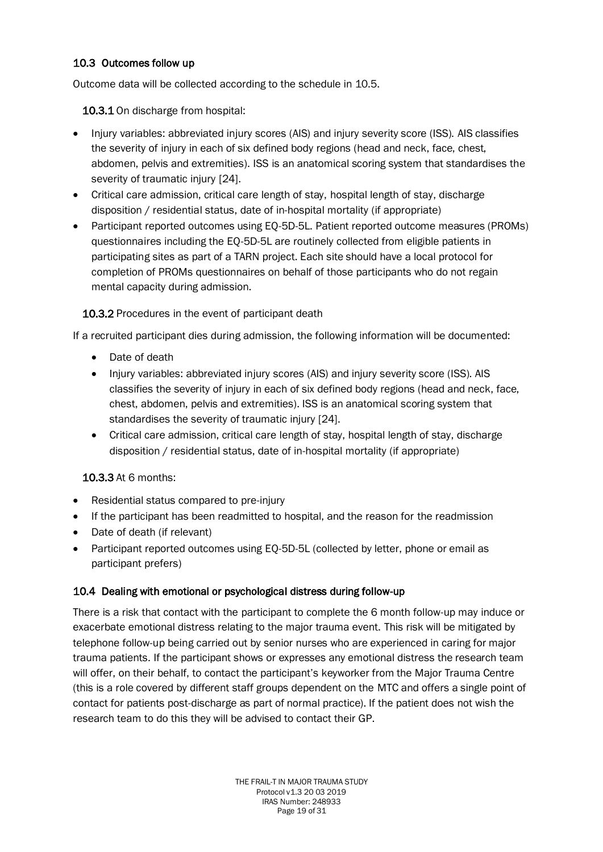### 10.3 Outcomes follow up

Outcome data will be collected according to the schedule in [10.5.](#page-19-2)

10.3.1 On discharge from hospital:

- Injury variables: abbreviated injury scores (AIS) and injury severity score (ISS). AIS classifies the severity of injury in each of six defined body regions (head and neck, face, chest, abdomen, pelvis and extremities). ISS is an anatomical scoring system that standardises the severity of traumatic injury [24].
- Critical care admission, critical care length of stay, hospital length of stay, discharge disposition / residential status, date of in-hospital mortality (if appropriate)
- Participant reported outcomes using EQ-5D-5L. Patient reported outcome measures (PROMs) questionnaires including the EQ-5D-5L are routinely collected from eligible patients in participating sites as part of a TARN project. Each site should have a local protocol for completion of PROMs questionnaires on behalf of those participants who do not regain mental capacity during admission.

### 10.3.2 Procedures in the event of participant death

If a recruited participant dies during admission, the following information will be documented:

- Date of death
- Injury variables: abbreviated injury scores (AIS) and injury severity score (ISS). AIS classifies the severity of injury in each of six defined body regions (head and neck, face, chest, abdomen, pelvis and extremities). ISS is an anatomical scoring system that standardises the severity of traumatic injury [24].
- Critical care admission, critical care length of stay, hospital length of stay, discharge disposition / residential status, date of in-hospital mortality (if appropriate)

#### 10.3.3 At 6 months:

- Residential status compared to pre-injury
- If the participant has been readmitted to hospital, and the reason for the readmission
- Date of death (if relevant)
- Participant reported outcomes using EQ-5D-5L (collected by letter, phone or email as participant prefers)

#### 10.4 Dealing with emotional or psychological distress during follow-up

There is a risk that contact with the participant to complete the 6 month follow-up may induce or exacerbate emotional distress relating to the major trauma event. This risk will be mitigated by telephone follow-up being carried out by senior nurses who are experienced in caring for major trauma patients. If the participant shows or expresses any emotional distress the research team will offer, on their behalf, to contact the participant's keyworker from the Major Trauma Centre (this is a role covered by different staff groups dependent on the MTC and offers a single point of contact for patients post-discharge as part of normal practice). If the patient does not wish the research team to do this they will be advised to contact their GP.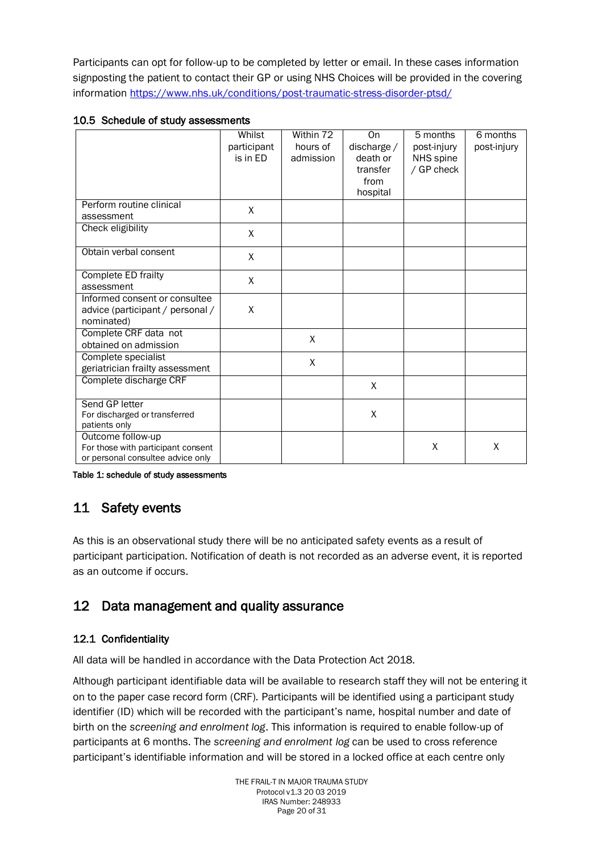Participants can opt for follow-up to be completed by letter or email. In these cases information signposting the patient to contact their GP or using NHS Choices will be provided in the covering information<https://www.nhs.uk/conditions/post-traumatic-stress-disorder-ptsd/>

#### <span id="page-19-2"></span>10.5 Schedule of study assessments

|                                    | Whilst      | Within 72 | On          | 5 months    | 6 months    |
|------------------------------------|-------------|-----------|-------------|-------------|-------------|
|                                    | participant | hours of  | discharge / | post-injury | post-injury |
|                                    | is in ED    | admission | death or    | NHS spine   |             |
|                                    |             |           | transfer    | / GP check  |             |
|                                    |             |           | from        |             |             |
|                                    |             |           | hospital    |             |             |
| Perform routine clinical           |             |           |             |             |             |
| assessment                         | X           |           |             |             |             |
| Check eligibility                  |             |           |             |             |             |
|                                    | X           |           |             |             |             |
| Obtain verbal consent              |             |           |             |             |             |
|                                    | X           |           |             |             |             |
| <b>Complete ED frailty</b>         | X           |           |             |             |             |
| assessment                         |             |           |             |             |             |
| Informed consent or consultee      |             |           |             |             |             |
| advice (participant / personal /   | X           |           |             |             |             |
| nominated)                         |             |           |             |             |             |
| Complete CRF data not              |             | X         |             |             |             |
| obtained on admission              |             |           |             |             |             |
| Complete specialist                |             | X         |             |             |             |
| geriatrician frailty assessment    |             |           |             |             |             |
| Complete discharge CRF             |             |           | X           |             |             |
|                                    |             |           |             |             |             |
| Send GP letter                     |             |           |             |             |             |
| For discharged or transferred      |             |           | X           |             |             |
| patients only                      |             |           |             |             |             |
| Outcome follow-up                  |             |           |             |             |             |
| For those with participant consent |             |           |             | X           | X           |
| or personal consultee advice only  |             |           |             |             |             |

<span id="page-19-0"></span>Table 1: schedule of study assessments

## 11 Safety events

As this is an observational study there will be no anticipated safety events as a result of participant participation. Notification of death is not recorded as an adverse event, it is reported as an outcome if occurs.

## <span id="page-19-1"></span>12 Data management and quality assurance

### 12.1 Confidentiality

All data will be handled in accordance with the Data Protection Act 2018.

Although participant identifiable data will be available to research staff they will not be entering it on to the paper case record form (CRF). Participants will be identified using a participant study identifier (ID) which will be recorded with the participant's name, hospital number and date of birth on the *screening and enrolment log*. This information is required to enable follow-up of participants at 6 months. The *screening and enrolment log* can be used to cross reference participant's identifiable information and will be stored in a locked office at each centre only

> THE FRAIL-T IN MAJOR TRAUMA STUDY Protocol v1.3 20 03 2019 IRAS Number: 248933 Page 20 of 31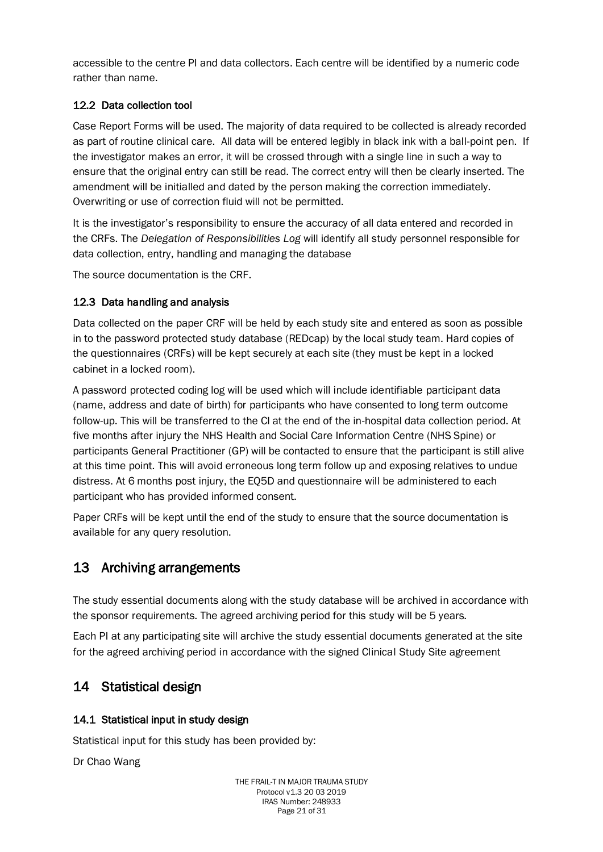accessible to the centre PI and data collectors. Each centre will be identified by a numeric code rather than name.

## 12.2 Data collection tool

Case Report Forms will be used. The majority of data required to be collected is already recorded as part of routine clinical care. All data will be entered legibly in black ink with a ball-point pen. If the investigator makes an error, it will be crossed through with a single line in such a way to ensure that the original entry can still be read. The correct entry will then be clearly inserted. The amendment will be initialled and dated by the person making the correction immediately. Overwriting or use of correction fluid will not be permitted.

It is the investigator's responsibility to ensure the accuracy of all data entered and recorded in the CRFs. The *Delegation of Responsibilities Log* will identify all study personnel responsible for data collection, entry, handling and managing the database

The source documentation is the CRF.

## 12.3 Data handling and analysis

Data collected on the paper CRF will be held by each study site and entered as soon as possible in to the password protected study database (REDcap) by the local study team. Hard copies of the questionnaires (CRFs) will be kept securely at each site (they must be kept in a locked cabinet in a locked room).

A password protected coding log will be used which will include identifiable participant data (name, address and date of birth) for participants who have consented to long term outcome follow-up. This will be transferred to the CI at the end of the in-hospital data collection period. At five months after injury the NHS Health and Social Care Information Centre (NHS Spine) or participants General Practitioner (GP) will be contacted to ensure that the participant is still alive at this time point. This will avoid erroneous long term follow up and exposing relatives to undue distress. At 6 months post injury, the EQ5D and questionnaire will be administered to each participant who has provided informed consent.

Paper CRFs will be kept until the end of the study to ensure that the source documentation is available for any query resolution.

## <span id="page-20-0"></span>13 Archiving arrangements

The study essential documents along with the study database will be archived in accordance with the sponsor requirements. The agreed archiving period for this study will be 5 years.

Each PI at any participating site will archive the study essential documents generated at the site for the agreed archiving period in accordance with the signed Clinical Study Site agreement

## <span id="page-20-1"></span>14 Statistical design

### 14.1 Statistical input in study design

Statistical input for this study has been provided by:

Dr Chao Wang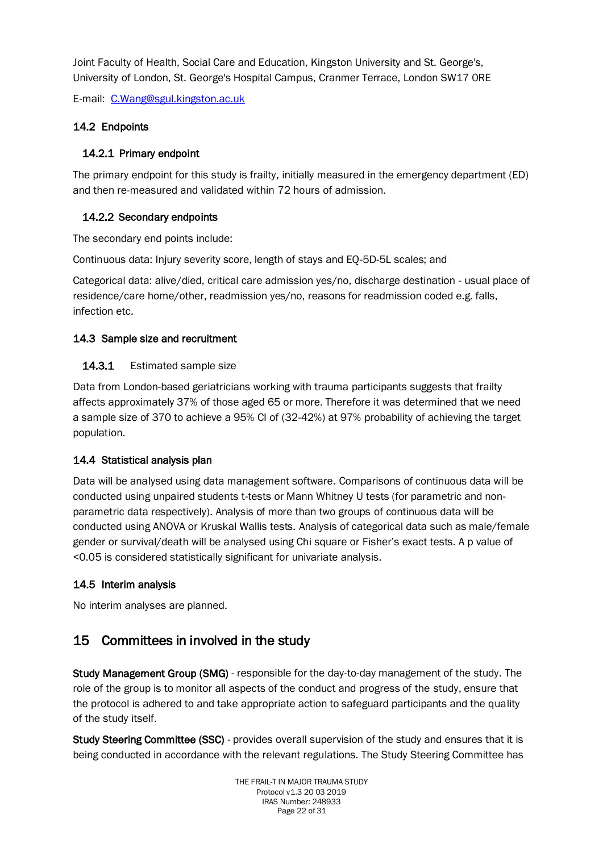Joint Faculty of Health, Social Care and Education, Kingston University and St. George's, University of London, St. George's Hospital Campus, Cranmer Terrace, London SW17 0RE

E-mail: [C.Wang@sgul.kingston.ac.uk](mailto:C.Wang@sgul.kingston.ac.uk)

## 14.2 Endpoints

## 14.2.1 Primary endpoint

The primary endpoint for this study is frailty, initially measured in the emergency department (ED) and then re-measured and validated within 72 hours of admission.

## 14.2.2 Secondary endpoints

The secondary end points include:

Continuous data: Injury severity score, length of stays and EQ-5D-5L scales; and

Categorical data: alive/died, critical care admission yes/no, discharge destination - usual place of residence/care home/other, readmission yes/no, reasons for readmission coded e.g. falls, infection etc.

### 14.3 Sample size and recruitment

### 14.3.1 Estimated sample size

Data from London-based geriatricians working with trauma participants suggests that frailty affects approximately 37% of those aged 65 or more. Therefore it was determined that we need a sample size of 370 to achieve a 95% CI of (32-42%) at 97% probability of achieving the target population.

### 14.4 Statistical analysis plan

Data will be analysed using data management software. Comparisons of continuous data will be conducted using unpaired students t-tests or Mann Whitney U tests (for parametric and nonparametric data respectively). Analysis of more than two groups of continuous data will be conducted using ANOVA or Kruskal Wallis tests. Analysis of categorical data such as male/female gender or survival/death will be analysed using Chi square or Fisher's exact tests. A p value of <0.05 is considered statistically significant for univariate analysis.

### 14.5 Interim analysis

<span id="page-21-0"></span>No interim analyses are planned.

## 15 Committees in involved in the study

Study Management Group (SMG) - responsible for the day-to-day management of the study. The role of the group is to monitor all aspects of the conduct and progress of the study, ensure that the protocol is adhered to and take appropriate action to safeguard participants and the quality of the study itself.

Study Steering Committee (SSC) - provides overall supervision of the study and ensures that it is being conducted in accordance with the relevant regulations. The Study Steering Committee has

> THE FRAIL-T IN MAJOR TRAUMA STUDY Protocol v1.3 20 03 2019 IRAS Number: 248933 Page 22 of 31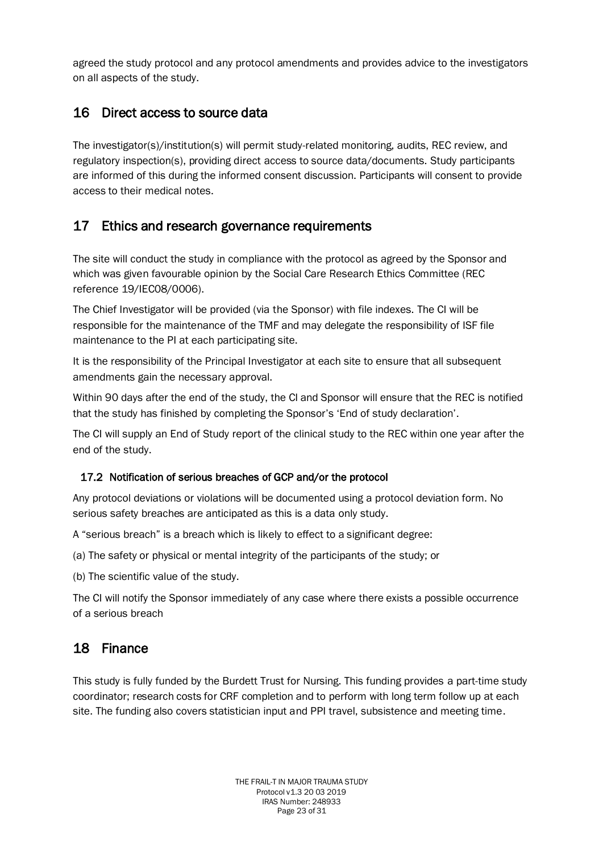agreed the study protocol and any protocol amendments and provides advice to the investigators on all aspects of the study.

## <span id="page-22-0"></span>16 Direct access to source data

The investigator(s)/institution(s) will permit study-related monitoring, audits, REC review, and regulatory inspection(s), providing direct access to source data/documents. Study participants are informed of this during the informed consent discussion. Participants will consent to provide access to their medical notes.

## <span id="page-22-1"></span>17 Ethics and research governance requirements

The site will conduct the study in compliance with the protocol as agreed by the Sponsor and which was given favourable opinion by the Social Care Research Ethics Committee (REC reference 19/IEC08/0006).

The Chief Investigator will be provided (via the Sponsor) with file indexes. The CI will be responsible for the maintenance of the TMF and may delegate the responsibility of ISF file maintenance to the PI at each participating site.

It is the responsibility of the Principal Investigator at each site to ensure that all subsequent amendments gain the necessary approval.

Within 90 days after the end of the study, the CI and Sponsor will ensure that the REC is notified that the study has finished by completing the Sponsor's 'End of study declaration'.

The CI will supply an End of Study report of the clinical study to the REC within one year after the end of the study.

## 17.2 Notification of serious breaches of GCP and/or the protocol

Any protocol deviations or violations will be documented using a protocol deviation form. No serious safety breaches are anticipated as this is a data only study.

A "serious breach" is a breach which is likely to effect to a significant degree:

(a) The safety or physical or mental integrity of the participants of the study; or

(b) The scientific value of the study.

The CI will notify the Sponsor immediately of any case where there exists a possible occurrence of a serious breach

## <span id="page-22-2"></span>18 Finance

This study is fully funded by the Burdett Trust for Nursing. This funding provides a part-time study coordinator; research costs for CRF completion and to perform with long term follow up at each site. The funding also covers statistician input and PPI travel, subsistence and meeting time.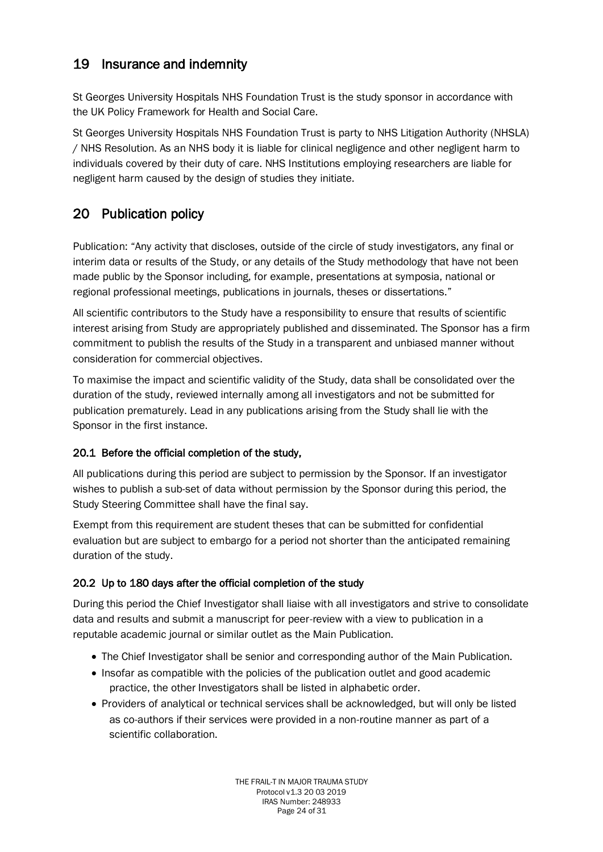## <span id="page-23-0"></span>19 Insurance and indemnity

St Georges University Hospitals NHS Foundation Trust is the study sponsor in accordance with the UK Policy Framework for Health and Social Care.

St Georges University Hospitals NHS Foundation Trust is party to NHS Litigation Authority (NHSLA) / NHS Resolution. As an NHS body it is liable for clinical negligence and other negligent harm to individuals covered by their duty of care. NHS Institutions employing researchers are liable for negligent harm caused by the design of studies they initiate.

## <span id="page-23-1"></span>20 Publication policy

Publication: "Any activity that discloses, outside of the circle of study investigators, any final or interim data or results of the Study, or any details of the Study methodology that have not been made public by the Sponsor including, for example, presentations at symposia, national or regional professional meetings, publications in journals, theses or dissertations."

All scientific contributors to the Study have a responsibility to ensure that results of scientific interest arising from Study are appropriately published and disseminated. The Sponsor has a firm commitment to publish the results of the Study in a transparent and unbiased manner without consideration for commercial objectives.

To maximise the impact and scientific validity of the Study, data shall be consolidated over the duration of the study, reviewed internally among all investigators and not be submitted for publication prematurely. Lead in any publications arising from the Study shall lie with the Sponsor in the first instance.

## 20.1 Before the official completion of the study,

All publications during this period are subject to permission by the Sponsor. If an investigator wishes to publish a sub-set of data without permission by the Sponsor during this period, the Study Steering Committee shall have the final say.

Exempt from this requirement are student theses that can be submitted for confidential evaluation but are subject to embargo for a period not shorter than the anticipated remaining duration of the study.

### 20.2 Up to 180 days after the official completion of the study

During this period the Chief Investigator shall liaise with all investigators and strive to consolidate data and results and submit a manuscript for peer-review with a view to publication in a reputable academic journal or similar outlet as the Main Publication.

- The Chief Investigator shall be senior and corresponding author of the Main Publication.
- Insofar as compatible with the policies of the publication outlet and good academic practice, the other Investigators shall be listed in alphabetic order.
- Providers of analytical or technical services shall be acknowledged, but will only be listed as co-authors if their services were provided in a non-routine manner as part of a scientific collaboration.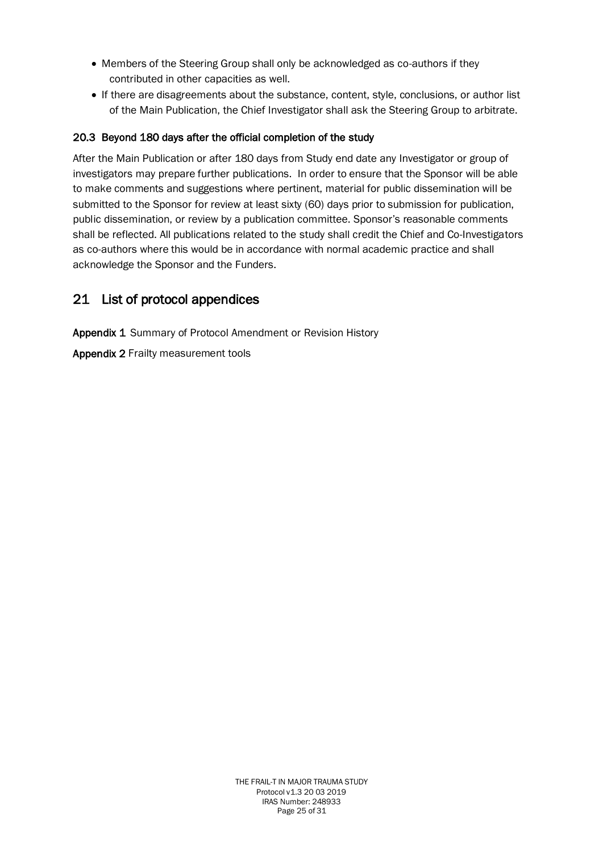- Members of the Steering Group shall only be acknowledged as co-authors if they contributed in other capacities as well.
- If there are disagreements about the substance, content, style, conclusions, or author list of the Main Publication, the Chief Investigator shall ask the Steering Group to arbitrate.

### 20.3 Beyond 180 days after the official completion of the study

After the Main Publication or after 180 days from Study end date any Investigator or group of investigators may prepare further publications. In order to ensure that the Sponsor will be able to make comments and suggestions where pertinent, material for public dissemination will be submitted to the Sponsor for review at least sixty (60) days prior to submission for publication, public dissemination, or review by a publication committee. Sponsor's reasonable comments shall be reflected. All publications related to the study shall credit the Chief and Co-Investigators as co-authors where this would be in accordance with normal academic practice and shall acknowledge the Sponsor and the Funders.

## <span id="page-24-0"></span>21 List of protocol appendices

Appendix 1 Summary of Protocol Amendment or Revision History Appendix 2 Frailty measurement tools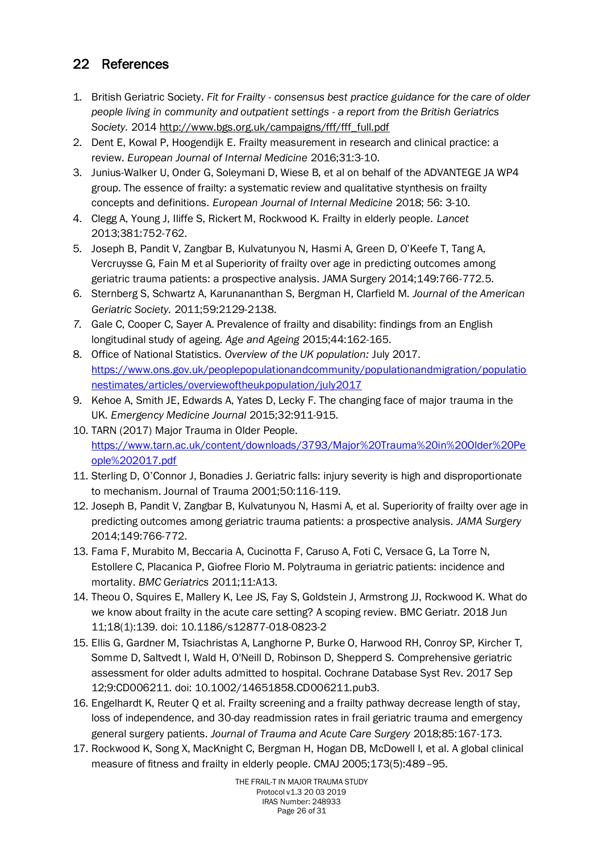## <span id="page-25-0"></span>22 References

- 1. British Geriatric Society. *Fit for Frailty - consensus best practice guidance for the care of older people living in community and outpatient settings - a report from the British Geriatrics Society.* 2014 [http://www.bgs.org.uk/campaigns/fff/fff\\_full.pdf](http://www.bgs.org.uk/campaigns/fff/fff_full.pdf)
- 2. Dent E, Kowal P, Hoogendijk E. Frailty measurement in research and clinical practice: a review. *European Journal of Internal Medicine* 2016;31:3-10.
- 3. Junius-Walker U, Onder G, Soleymani D, Wiese B, et al on behalf of the ADVANTEGE JA WP4 group. The essence of frailty: a systematic review and qualitative stynthesis on frailty concepts and definitions. *European Journal of Internal Medicine* 2018; 56: 3-10.
- 4. Clegg A, Young J, Iliffe S, Rickert M, Rockwood K. Frailty in elderly people. *Lancet* 2013;381:752-762.
- 5. Joseph B, Pandit V, Zangbar B, Kulvatunyou N, Hasmi A, Green D, O'Keefe T, Tang A, Vercruysse G, Fain M et al Superiority of frailty over age in predicting outcomes among geriatric trauma patients: a prospective analysis. JAMA Surgery 2014;149:766-772.5.
- 6. Sternberg S, Schwartz A, Karunananthan S, Bergman H, Clarfield M. *Journal of the American Geriatric Society.* 2011;59:2129-2138.
- *7.* Gale C, Cooper C, Sayer A. Prevalence of frailty and disability: findings from an English longitudinal study of ageing. *Age and Ageing* 2015;44:162-165.
- 8. Office of National Statistics. *Overview of the UK population:* July 2017. [https://www.ons.gov.uk/peoplepopulationandcommunity/populationandmigration/populatio](https://www.ons.gov.uk/peoplepopulationandcommunity/populationandmigration/populationestimates/articles/overviewoftheukpopulation/july2017) [nestimates/articles/overviewoftheukpopulation/july2017](https://www.ons.gov.uk/peoplepopulationandcommunity/populationandmigration/populationestimates/articles/overviewoftheukpopulation/july2017)
- 9. Kehoe A, Smith JE, Edwards A, Yates D, Lecky F. The changing face of major trauma in the UK. *Emergency Medicine Journal* 2015;32:911-915.
- 10. TARN (2017) Major Trauma in Older People. [https://www.tarn.ac.uk/content/downloads/3793/Major%20Trauma%20in%20Older%20Pe](https://www.tarn.ac.uk/content/downloads/3793/Major%20Trauma%20in%20Older%20People%202017.pdf) [ople%202017.pdf](https://www.tarn.ac.uk/content/downloads/3793/Major%20Trauma%20in%20Older%20People%202017.pdf)
- 11. Sterling D, O'Connor J, Bonadies J. Geriatric falls: injury severity is high and disproportionate to mechanism. Journal of Trauma 2001;50:116-119.
- 12. Joseph B, Pandit V, Zangbar B, Kulvatunyou N, Hasmi A, et al. Superiority of frailty over age in predicting outcomes among geriatric trauma patients: a prospective analysis. *JAMA Surgery* 2014;149:766-772.
- 13. Fama F, Murabito M, Beccaria A, Cucinotta F, Caruso A, Foti C, Versace G, La Torre N, Estollere C, Placanica P, Giofree Florio M. Polytrauma in geriatric patients: incidence and mortality. *BMC Geriatrics* 2011;11:A13.
- 14. Theou O, Squires E, Mallery K, Lee JS, Fay S, Goldstein J, Armstrong JJ, Rockwood K. What do we know about frailty in the acute care setting? A scoping review. BMC Geriatr. 2018 Jun 11;18(1):139. doi: 10.1186/s12877-018-0823-2
- 15. Ellis G, Gardner M, Tsiachristas A, Langhorne P, Burke O, Harwood RH, Conroy SP, Kircher T, Somme D, Saltvedt I, Wald H, O'Neill D, Robinson D, Shepperd S. Comprehensive geriatric assessment for older adults admitted to hospital. Cochrane Database Syst Rev. 2017 Sep 12;9:CD006211. doi: 10.1002/14651858.CD006211.pub3.
- 16. Engelhardt K, Reuter Q et al. Frailty screening and a frailty pathway decrease length of stay, loss of independence, and 30-day readmission rates in frail geriatric trauma and emergency general surgery patients. *Journal of Trauma and Acute Care Surgery* 2018;85:167-173.
- 17. Rockwood K, Song X, MacKnight C, Bergman H, Hogan DB, McDowell I, et al. A global clinical measure of fitness and frailty in elderly people. CMAJ 2005;173(5):489–95.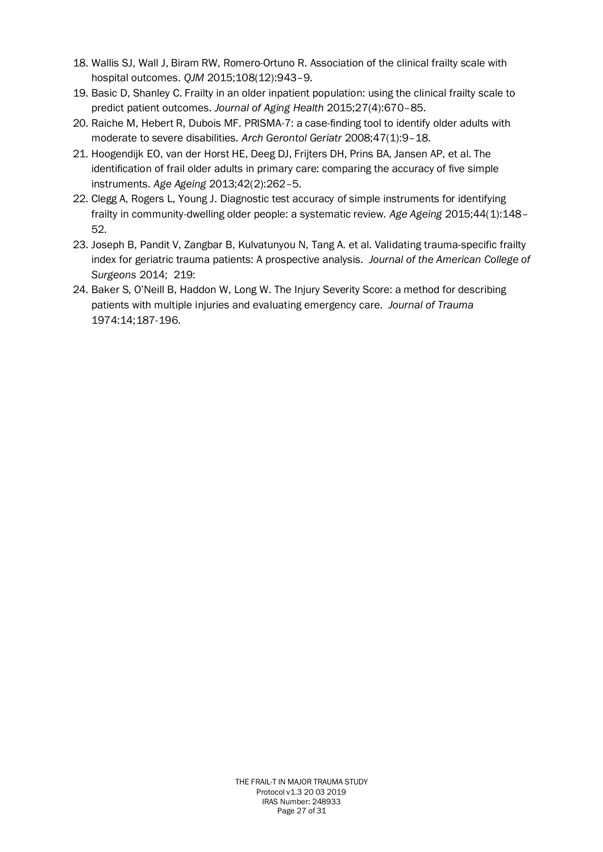- 18. Wallis SJ, Wall J, Biram RW, Romero-Ortuno R. Association of the clinical frailty scale with hospital outcomes. *QJM* 2015;108(12):943–9.
- 19. Basic D, Shanley C. Frailty in an older inpatient population: using the clinical frailty scale to predict patient outcomes. *Journal of Aging Health* 2015;27(4):670–85.
- 20. Raiche M, Hebert R, Dubois MF. PRISMA-7: a case-finding tool to identify older adults with moderate to severe disabilities. *Arch Gerontol Geriatr* 2008;47(1):9–18.
- 21. Hoogendijk EO, van der Horst HE, Deeg DJ, Frijters DH, Prins BA, Jansen AP, et al. The identification of frail older adults in primary care: comparing the accuracy of five simple instruments. *Age Ageing* 2013;42(2):262–5.
- 22. Clegg A, Rogers L, Young J. Diagnostic test accuracy of simple instruments for identifying frailty in community-dwelling older people: a systematic review. *Age Ageing* 2015;44(1):148– 52.
- 23. [Joseph B, Pandit V, Zangbar B, Kulvatunyou N, Tang A. et al. Validating trauma-specific frailty](https://hdas.nice.org.uk/strategy/508141/27/EMBASE/373361415)  [index for geriatric trauma patients: A prospective analysis.](https://hdas.nice.org.uk/strategy/508141/27/EMBASE/373361415) *Journal of the American College of Surgeons* 2014; 219:
- 24. Baker S, O'Neill B, Haddon W, Long W. The Injury Severity Score: a method for describing patients with multiple injuries and evaluating emergency care. *Journal of Trauma* 1974:14;187-196.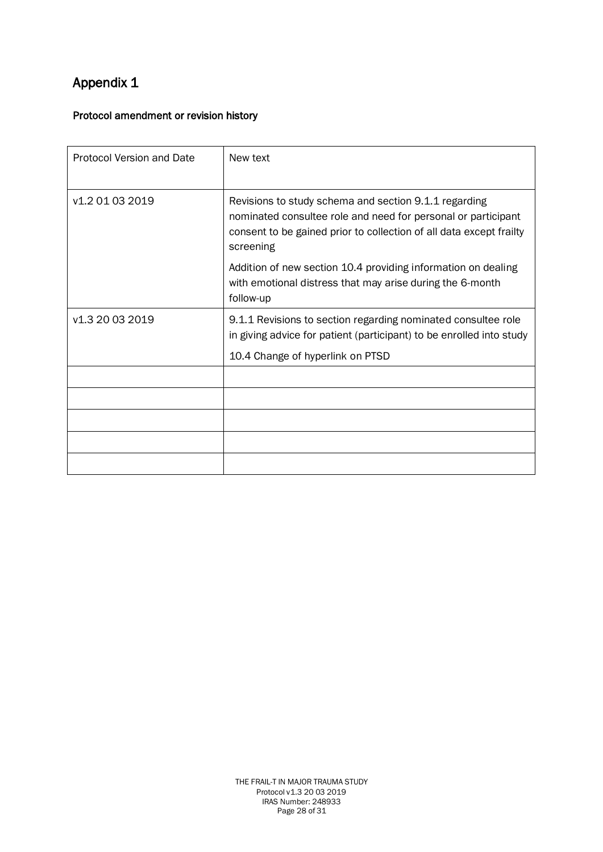# <span id="page-27-0"></span>Appendix 1

### Protocol amendment or revision history

| <b>Protocol Version and Date</b> | New text                                                                                                                                                                                                   |
|----------------------------------|------------------------------------------------------------------------------------------------------------------------------------------------------------------------------------------------------------|
| v1.2 01 03 2019                  | Revisions to study schema and section 9.1.1 regarding<br>nominated consultee role and need for personal or participant<br>consent to be gained prior to collection of all data except frailty<br>screening |
|                                  | Addition of new section 10.4 providing information on dealing<br>with emotional distress that may arise during the 6-month<br>follow-up                                                                    |
| v1.3 20 03 2019                  | 9.1.1 Revisions to section regarding nominated consultee role<br>in giving advice for patient (participant) to be enrolled into study<br>10.4 Change of hyperlink on PTSD                                  |
|                                  |                                                                                                                                                                                                            |
|                                  |                                                                                                                                                                                                            |
|                                  |                                                                                                                                                                                                            |
|                                  |                                                                                                                                                                                                            |
|                                  |                                                                                                                                                                                                            |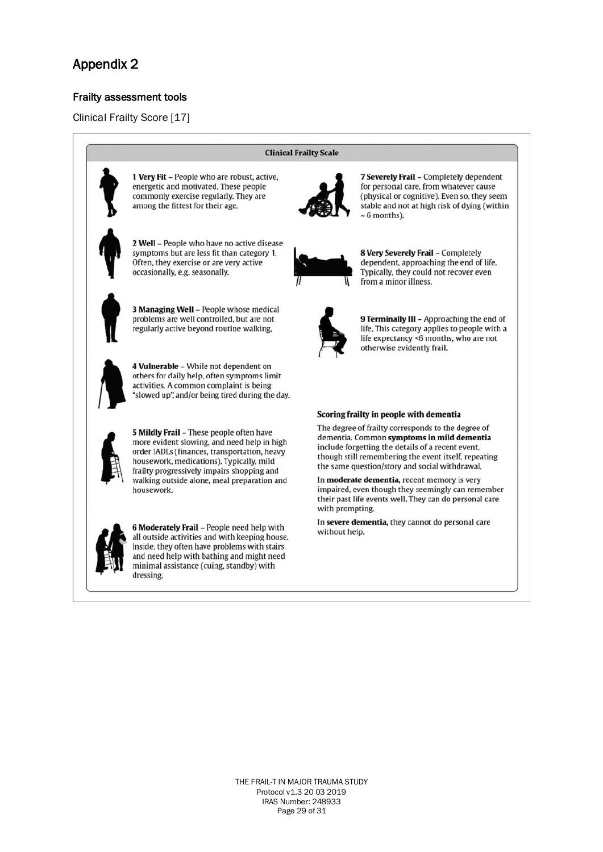## <span id="page-28-0"></span>Appendix 2

### Frailty assessment tools

Clinical Frailty Score [17]

#### **Clinical Frailty Scale** 1 Very Fit - People who are robust, active. 7 Severely Frail - Completely dependent energetic and motivated. These people for personal care, from whatever cause commonly exercise regularly. They are (physical or cognitive). Even so, they seem stable and not at high risk of dying (within among the fittest for their age.  $~5$  months). 2 Well - People who have no active disease symptoms but are less fit than category 1. 8 Very Severely Frail - Completely Often, they exercise or are very active dependent, approaching the end of life. occasionally, e.g. seasonally. Typically, they could not recover even from a minor illness. 3 Managing Well - People whose medical problems are well controlled, but are not 9 Terminally III - Approaching the end of life. This category applies to people with a regularly active beyond routine walking. life expectancy <6 months, who are not otherwise evidently frail. 4 Vulnerable - While not dependent on others for daily help, often symptoms limit activities. A common complaint is being "slowed up", and/or being tired during the day. Scoring frailty in people with dementia The degree of frailty corresponds to the degree of 5 Mildly Frail - These people often have dementia. Common symptoms in mild dementia more evident slowing, and need help in high include forgetting the details of a recent event, order IADLs (finances, transportation, heavy though still remembering the event itself, repeating housework, medications). Typically, mild the same question/story and social withdrawal. frailty progressively impairs shopping and walking outside alone, meal preparation and In moderate dementia, recent memory is very impaired, even though they seemingly can remember housework. their past life events well. They can do personal care with prompting. In severe dementia, they cannot do personal care 6 Moderately Frail - People need help with without help. all outside activities and with keeping house. Inside, they often have problems with stairs and need help with bathing and might need minimal assistance (cuing, standby) with dressing.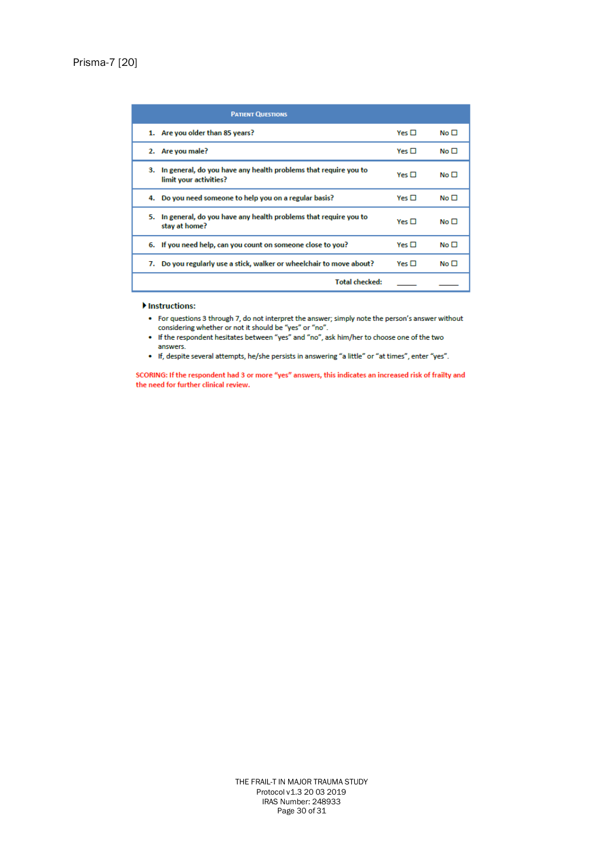| <b>PATIENT QUESTIONS</b>                                                                        |            |                 |
|-------------------------------------------------------------------------------------------------|------------|-----------------|
| 1. Are you older than 85 years?                                                                 | Yes $\Box$ | No <sub>1</sub> |
| 2. Are you male?                                                                                | Yes $\Box$ | No <sub>1</sub> |
| In general, do you have any health problems that require you to<br>з.<br>limit your activities? | Yes $\Box$ | No <sub>1</sub> |
| Do you need someone to help you on a regular basis?<br>4.                                       | Yes $\Box$ | No <sub>1</sub> |
| In general, do you have any health problems that require you to<br>5.<br>stay at home?          | Yes $\Box$ | No <sub>1</sub> |
| 6. If you need help, can you count on someone close to you?                                     | Yes $\Box$ | No <sub>1</sub> |
| 7. Do you regularly use a stick, walker or wheelchair to move about?                            | Yes $\Box$ | No <sub>1</sub> |
| <b>Total checked:</b>                                                                           |            |                 |

#### Instructions:

- For questions 3 through 7, do not interpret the answer; simply note the person's answer without considering whether or not it should be "yes" or "no".
- . If the respondent hesitates between "yes" and "no", ask him/her to choose one of the two answers.
- If, despite several attempts, he/she persists in answering "a little" or "at times", enter "yes".

SCORING: If the respondent had 3 or more "yes" answers, this indicates an increased risk of frailty and the need for further clinical review.

> THE FRAIL-T IN MAJOR TRAUMA STUDY Protocol v1.3 20 03 2019 IRAS Number: 248933 Page 30 of 31